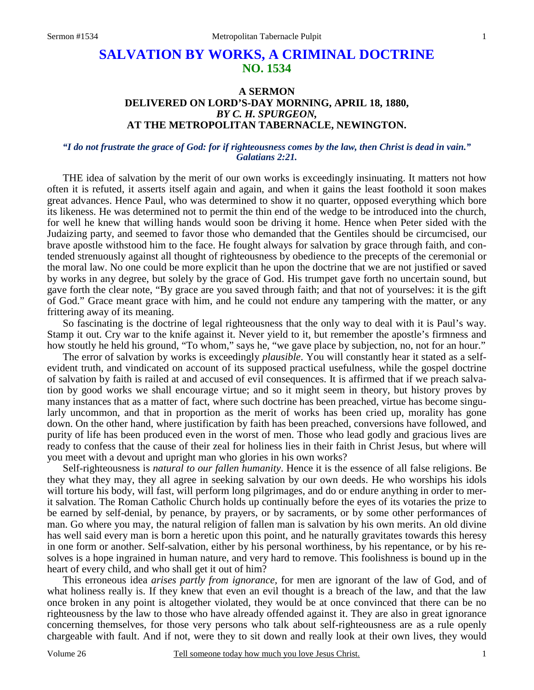# **SALVATION BY WORKS, A CRIMINAL DOCTRINE NO. 1534**

# **A SERMON DELIVERED ON LORD'S-DAY MORNING, APRIL 18, 1880,**  *BY C. H. SPURGEON,*  **AT THE METROPOLITAN TABERNACLE, NEWINGTON.**

### *"I do not frustrate the grace of God: for if righteousness comes by the law, then Christ is dead in vain." Galatians 2:21.*

THE idea of salvation by the merit of our own works is exceedingly insinuating. It matters not how often it is refuted, it asserts itself again and again, and when it gains the least foothold it soon makes great advances. Hence Paul, who was determined to show it no quarter, opposed everything which bore its likeness. He was determined not to permit the thin end of the wedge to be introduced into the church, for well he knew that willing hands would soon be driving it home. Hence when Peter sided with the Judaizing party, and seemed to favor those who demanded that the Gentiles should be circumcised, our brave apostle withstood him to the face. He fought always for salvation by grace through faith, and contended strenuously against all thought of righteousness by obedience to the precepts of the ceremonial or the moral law. No one could be more explicit than he upon the doctrine that we are not justified or saved by works in any degree, but solely by the grace of God. His trumpet gave forth no uncertain sound, but gave forth the clear note, "By grace are you saved through faith; and that not of yourselves: it is the gift of God." Grace meant grace with him, and he could not endure any tampering with the matter, or any frittering away of its meaning.

 So fascinating is the doctrine of legal righteousness that the only way to deal with it is Paul's way. Stamp it out. Cry war to the knife against it. Never yield to it, but remember the apostle's firmness and how stoutly he held his ground, "To whom," says he, "we gave place by subjection, no, not for an hour."

 The error of salvation by works is exceedingly *plausible*. You will constantly hear it stated as a selfevident truth, and vindicated on account of its supposed practical usefulness, while the gospel doctrine of salvation by faith is railed at and accused of evil consequences. It is affirmed that if we preach salvation by good works we shall encourage virtue; and so it might seem in theory, but history proves by many instances that as a matter of fact, where such doctrine has been preached, virtue has become singularly uncommon, and that in proportion as the merit of works has been cried up, morality has gone down. On the other hand, where justification by faith has been preached, conversions have followed, and purity of life has been produced even in the worst of men. Those who lead godly and gracious lives are ready to confess that the cause of their zeal for holiness lies in their faith in Christ Jesus, but where will you meet with a devout and upright man who glories in his own works?

 Self-righteousness is *natural to our fallen humanity*. Hence it is the essence of all false religions. Be they what they may, they all agree in seeking salvation by our own deeds. He who worships his idols will torture his body, will fast, will perform long pilgrimages, and do or endure anything in order to merit salvation. The Roman Catholic Church holds up continually before the eyes of its votaries the prize to be earned by self-denial, by penance, by prayers, or by sacraments, or by some other performances of man. Go where you may, the natural religion of fallen man is salvation by his own merits. An old divine has well said every man is born a heretic upon this point, and he naturally gravitates towards this heresy in one form or another. Self-salvation, either by his personal worthiness, by his repentance, or by his resolves is a hope ingrained in human nature, and very hard to remove. This foolishness is bound up in the heart of every child, and who shall get it out of him?

 This erroneous idea *arises partly from ignorance,* for men are ignorant of the law of God, and of what holiness really is. If they knew that even an evil thought is a breach of the law, and that the law once broken in any point is altogether violated, they would be at once convinced that there can be no righteousness by the law to those who have already offended against it. They are also in great ignorance concerning themselves, for those very persons who talk about self-righteousness are as a rule openly chargeable with fault. And if not, were they to sit down and really look at their own lives, they would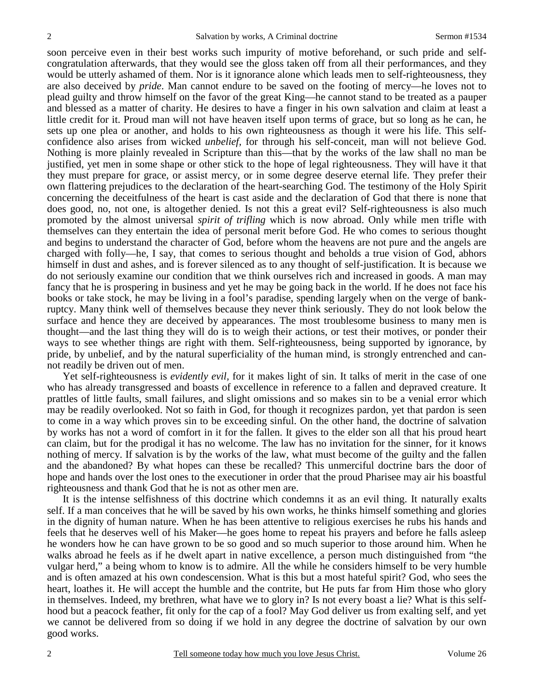soon perceive even in their best works such impurity of motive beforehand, or such pride and selfcongratulation afterwards, that they would see the gloss taken off from all their performances, and they would be utterly ashamed of them. Nor is it ignorance alone which leads men to self-righteousness, they are also deceived by *pride*. Man cannot endure to be saved on the footing of mercy—he loves not to plead guilty and throw himself on the favor of the great King—he cannot stand to be treated as a pauper and blessed as a matter of charity. He desires to have a finger in his own salvation and claim at least a little credit for it. Proud man will not have heaven itself upon terms of grace, but so long as he can, he sets up one plea or another, and holds to his own righteousness as though it were his life. This selfconfidence also arises from wicked *unbelief,* for through his self-conceit, man will not believe God. Nothing is more plainly revealed in Scripture than this—that by the works of the law shall no man be justified, yet men in some shape or other stick to the hope of legal righteousness. They will have it that they must prepare for grace, or assist mercy, or in some degree deserve eternal life. They prefer their own flattering prejudices to the declaration of the heart-searching God. The testimony of the Holy Spirit concerning the deceitfulness of the heart is cast aside and the declaration of God that there is none that does good, no, not one, is altogether denied. Is not this a great evil? Self-righteousness is also much promoted by the almost universal *spirit of trifling* which is now abroad. Only while men trifle with themselves can they entertain the idea of personal merit before God. He who comes to serious thought and begins to understand the character of God, before whom the heavens are not pure and the angels are charged with folly—he, I say, that comes to serious thought and beholds a true vision of God, abhors himself in dust and ashes, and is forever silenced as to any thought of self-justification. It is because we do not seriously examine our condition that we think ourselves rich and increased in goods. A man may fancy that he is prospering in business and yet he may be going back in the world. If he does not face his books or take stock, he may be living in a fool's paradise, spending largely when on the verge of bankruptcy. Many think well of themselves because they never think seriously. They do not look below the surface and hence they are deceived by appearances. The most troublesome business to many men is thought—and the last thing they will do is to weigh their actions, or test their motives, or ponder their ways to see whether things are right with them. Self-righteousness, being supported by ignorance, by pride, by unbelief, and by the natural superficiality of the human mind, is strongly entrenched and cannot readily be driven out of men.

 Yet self-righteousness is *evidently evil,* for it makes light of sin. It talks of merit in the case of one who has already transgressed and boasts of excellence in reference to a fallen and depraved creature. It prattles of little faults, small failures, and slight omissions and so makes sin to be a venial error which may be readily overlooked. Not so faith in God, for though it recognizes pardon, yet that pardon is seen to come in a way which proves sin to be exceeding sinful. On the other hand, the doctrine of salvation by works has not a word of comfort in it for the fallen. It gives to the elder son all that his proud heart can claim, but for the prodigal it has no welcome. The law has no invitation for the sinner, for it knows nothing of mercy. If salvation is by the works of the law, what must become of the guilty and the fallen and the abandoned? By what hopes can these be recalled? This unmerciful doctrine bars the door of hope and hands over the lost ones to the executioner in order that the proud Pharisee may air his boastful righteousness and thank God that he is not as other men are.

 It is the intense selfishness of this doctrine which condemns it as an evil thing. It naturally exalts self. If a man conceives that he will be saved by his own works, he thinks himself something and glories in the dignity of human nature. When he has been attentive to religious exercises he rubs his hands and feels that he deserves well of his Maker—he goes home to repeat his prayers and before he falls asleep he wonders how he can have grown to be so good and so much superior to those around him. When he walks abroad he feels as if he dwelt apart in native excellence, a person much distinguished from "the vulgar herd," a being whom to know is to admire. All the while he considers himself to be very humble and is often amazed at his own condescension. What is this but a most hateful spirit? God, who sees the heart, loathes it. He will accept the humble and the contrite, but He puts far from Him those who glory in themselves. Indeed, my brethren, what have we to glory in? Is not every boast a lie? What is this selfhood but a peacock feather, fit only for the cap of a fool? May God deliver us from exalting self, and yet we cannot be delivered from so doing if we hold in any degree the doctrine of salvation by our own good works.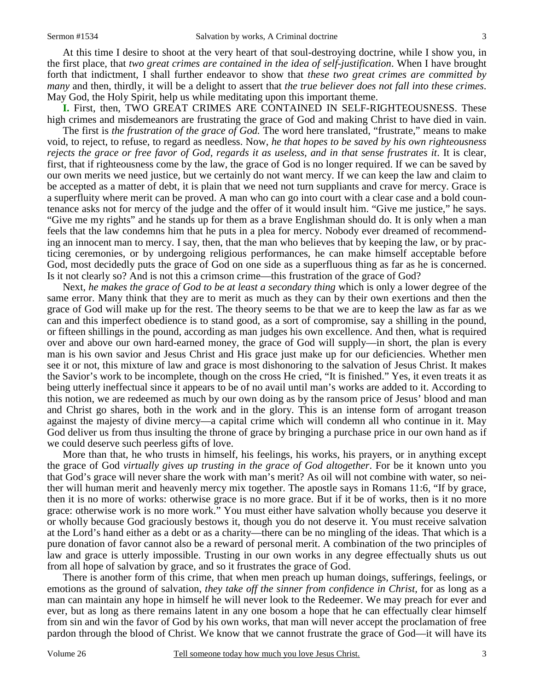At this time I desire to shoot at the very heart of that soul-destroying doctrine, while I show you, in the first place, that *two great crimes are contained in the idea of self-justification*. When I have brought forth that indictment, I shall further endeavor to show that *these two great crimes are committed by many* and then, thirdly, it will be a delight to assert that *the true believer does not fall into these crimes*. May God, the Holy Spirit, help us while meditating upon this important theme.

**I.** First, then, TWO GREAT CRIMES ARE CONTAINED IN SELF-RIGHTEOUSNESS. These high crimes and misdemeanors are frustrating the grace of God and making Christ to have died in vain.

 The first is *the frustration of the grace of God.* The word here translated, "frustrate," means to make void, to reject, to refuse, to regard as needless. Now, *he that hopes to be saved by his own righteousness rejects the grace or free favor of God, regards it as useless, and in that sense frustrates it*. It is clear, first, that if righteousness come by the law, the grace of God is no longer required. If we can be saved by our own merits we need justice, but we certainly do not want mercy. If we can keep the law and claim to be accepted as a matter of debt, it is plain that we need not turn suppliants and crave for mercy. Grace is a superfluity where merit can be proved. A man who can go into court with a clear case and a bold countenance asks not for mercy of the judge and the offer of it would insult him. "Give me justice," he says. "Give me my rights" and he stands up for them as a brave Englishman should do. It is only when a man feels that the law condemns him that he puts in a plea for mercy. Nobody ever dreamed of recommending an innocent man to mercy. I say, then, that the man who believes that by keeping the law, or by practicing ceremonies, or by undergoing religious performances, he can make himself acceptable before God, most decidedly puts the grace of God on one side as a superfluous thing as far as he is concerned. Is it not clearly so? And is not this a crimson crime—this frustration of the grace of God?

 Next, *he makes the grace of God to be at least a secondary thing* which is only a lower degree of the same error. Many think that they are to merit as much as they can by their own exertions and then the grace of God will make up for the rest. The theory seems to be that we are to keep the law as far as we can and this imperfect obedience is to stand good, as a sort of compromise, say a shilling in the pound, or fifteen shillings in the pound, according as man judges his own excellence. And then, what is required over and above our own hard-earned money, the grace of God will supply—in short, the plan is every man is his own savior and Jesus Christ and His grace just make up for our deficiencies. Whether men see it or not, this mixture of law and grace is most dishonoring to the salvation of Jesus Christ. It makes the Savior's work to be incomplete, though on the cross He cried, "It is finished." Yes, it even treats it as being utterly ineffectual since it appears to be of no avail until man's works are added to it. According to this notion, we are redeemed as much by our own doing as by the ransom price of Jesus' blood and man and Christ go shares, both in the work and in the glory. This is an intense form of arrogant treason against the majesty of divine mercy—a capital crime which will condemn all who continue in it. May God deliver us from thus insulting the throne of grace by bringing a purchase price in our own hand as if we could deserve such peerless gifts of love.

 More than that, he who trusts in himself, his feelings, his works, his prayers, or in anything except the grace of God *virtually gives up trusting in the grace of God altogether*. For be it known unto you that God's grace will never share the work with man's merit? As oil will not combine with water, so neither will human merit and heavenly mercy mix together. The apostle says in Romans 11:6, "If by grace, then it is no more of works: otherwise grace is no more grace. But if it be of works, then is it no more grace: otherwise work is no more work." You must either have salvation wholly because you deserve it or wholly because God graciously bestows it, though you do not deserve it. You must receive salvation at the Lord's hand either as a debt or as a charity—there can be no mingling of the ideas. That which is a pure donation of favor cannot also be a reward of personal merit. A combination of the two principles of law and grace is utterly impossible. Trusting in our own works in any degree effectually shuts us out from all hope of salvation by grace, and so it frustrates the grace of God.

 There is another form of this crime, that when men preach up human doings, sufferings, feelings, or emotions as the ground of salvation, *they take off the sinner from confidence in Christ,* for as long as a man can maintain any hope in himself he will never look to the Redeemer. We may preach for ever and ever, but as long as there remains latent in any one bosom a hope that he can effectually clear himself from sin and win the favor of God by his own works, that man will never accept the proclamation of free pardon through the blood of Christ. We know that we cannot frustrate the grace of God—it will have its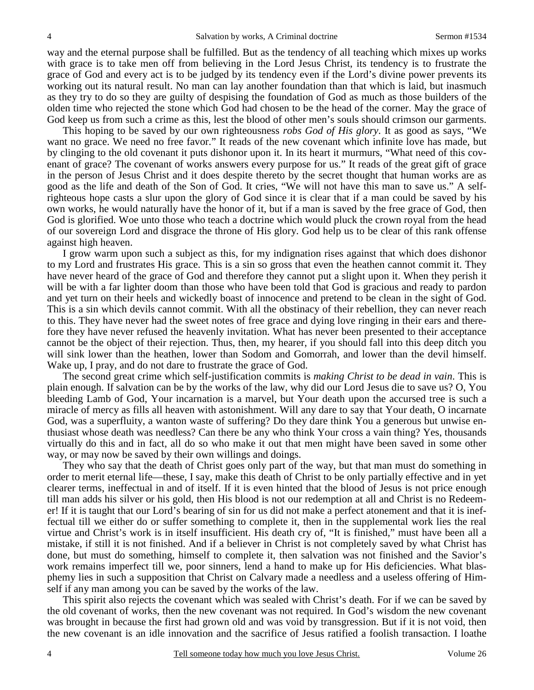way and the eternal purpose shall be fulfilled. But as the tendency of all teaching which mixes up works with grace is to take men off from believing in the Lord Jesus Christ, its tendency is to frustrate the grace of God and every act is to be judged by its tendency even if the Lord's divine power prevents its working out its natural result. No man can lay another foundation than that which is laid, but inasmuch as they try to do so they are guilty of despising the foundation of God as much as those builders of the olden time who rejected the stone which God had chosen to be the head of the corner. May the grace of God keep us from such a crime as this, lest the blood of other men's souls should crimson our garments.

 This hoping to be saved by our own righteousness *robs God of His glory*. It as good as says, "We want no grace. We need no free favor." It reads of the new covenant which infinite love has made, but by clinging to the old covenant it puts dishonor upon it. In its heart it murmurs, "What need of this covenant of grace? The covenant of works answers every purpose for us." It reads of the great gift of grace in the person of Jesus Christ and it does despite thereto by the secret thought that human works are as good as the life and death of the Son of God. It cries, "We will not have this man to save us." A selfrighteous hope casts a slur upon the glory of God since it is clear that if a man could be saved by his own works, he would naturally have the honor of it, but if a man is saved by the free grace of God, then God is glorified. Woe unto those who teach a doctrine which would pluck the crown royal from the head of our sovereign Lord and disgrace the throne of His glory. God help us to be clear of this rank offense against high heaven.

 I grow warm upon such a subject as this, for my indignation rises against that which does dishonor to my Lord and frustrates His grace. This is a sin so gross that even the heathen cannot commit it. They have never heard of the grace of God and therefore they cannot put a slight upon it. When they perish it will be with a far lighter doom than those who have been told that God is gracious and ready to pardon and yet turn on their heels and wickedly boast of innocence and pretend to be clean in the sight of God. This is a sin which devils cannot commit. With all the obstinacy of their rebellion, they can never reach to this. They have never had the sweet notes of free grace and dying love ringing in their ears and therefore they have never refused the heavenly invitation. What has never been presented to their acceptance cannot be the object of their rejection. Thus, then, my hearer, if you should fall into this deep ditch you will sink lower than the heathen, lower than Sodom and Gomorrah, and lower than the devil himself. Wake up, I pray, and do not dare to frustrate the grace of God.

 The second great crime which self-justification commits is *making Christ to be dead in vain*. This is plain enough. If salvation can be by the works of the law, why did our Lord Jesus die to save us? O, You bleeding Lamb of God, Your incarnation is a marvel, but Your death upon the accursed tree is such a miracle of mercy as fills all heaven with astonishment. Will any dare to say that Your death, O incarnate God, was a superfluity, a wanton waste of suffering? Do they dare think You a generous but unwise enthusiast whose death was needless? Can there be any who think Your cross a vain thing? Yes, thousands virtually do this and in fact, all do so who make it out that men might have been saved in some other way, or may now be saved by their own willings and doings.

 They who say that the death of Christ goes only part of the way, but that man must do something in order to merit eternal life—these, I say, make this death of Christ to be only partially effective and in yet clearer terms, ineffectual in and of itself. If it is even hinted that the blood of Jesus is not price enough till man adds his silver or his gold, then His blood is not our redemption at all and Christ is no Redeemer! If it is taught that our Lord's bearing of sin for us did not make a perfect atonement and that it is ineffectual till we either do or suffer something to complete it, then in the supplemental work lies the real virtue and Christ's work is in itself insufficient. His death cry of, "It is finished," must have been all a mistake, if still it is not finished. And if a believer in Christ is not completely saved by what Christ has done, but must do something, himself to complete it, then salvation was not finished and the Savior's work remains imperfect till we, poor sinners, lend a hand to make up for His deficiencies. What blasphemy lies in such a supposition that Christ on Calvary made a needless and a useless offering of Himself if any man among you can be saved by the works of the law.

 This spirit also rejects the covenant which was sealed with Christ's death. For if we can be saved by the old covenant of works, then the new covenant was not required. In God's wisdom the new covenant was brought in because the first had grown old and was void by transgression. But if it is not void, then the new covenant is an idle innovation and the sacrifice of Jesus ratified a foolish transaction. I loathe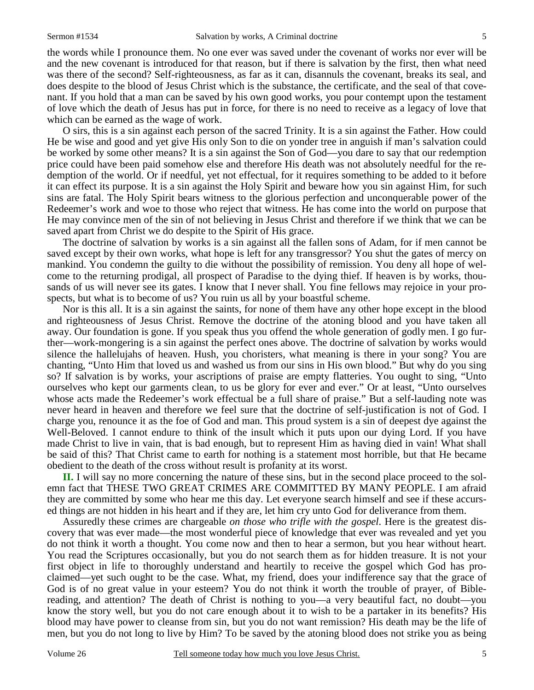the words while I pronounce them. No one ever was saved under the covenant of works nor ever will be and the new covenant is introduced for that reason, but if there is salvation by the first, then what need was there of the second? Self-righteousness, as far as it can, disannuls the covenant, breaks its seal, and does despite to the blood of Jesus Christ which is the substance, the certificate, and the seal of that covenant. If you hold that a man can be saved by his own good works, you pour contempt upon the testament of love which the death of Jesus has put in force, for there is no need to receive as a legacy of love that which can be earned as the wage of work.

 O sirs, this is a sin against each person of the sacred Trinity. It is a sin against the Father. How could He be wise and good and yet give His only Son to die on yonder tree in anguish if man's salvation could be worked by some other means? It is a sin against the Son of God—you dare to say that our redemption price could have been paid somehow else and therefore His death was not absolutely needful for the redemption of the world. Or if needful, yet not effectual, for it requires something to be added to it before it can effect its purpose. It is a sin against the Holy Spirit and beware how you sin against Him, for such sins are fatal. The Holy Spirit bears witness to the glorious perfection and unconquerable power of the Redeemer's work and woe to those who reject that witness. He has come into the world on purpose that He may convince men of the sin of not believing in Jesus Christ and therefore if we think that we can be saved apart from Christ we do despite to the Spirit of His grace.

 The doctrine of salvation by works is a sin against all the fallen sons of Adam, for if men cannot be saved except by their own works, what hope is left for any transgressor? You shut the gates of mercy on mankind. You condemn the guilty to die without the possibility of remission. You deny all hope of welcome to the returning prodigal, all prospect of Paradise to the dying thief. If heaven is by works, thousands of us will never see its gates. I know that I never shall. You fine fellows may rejoice in your prospects, but what is to become of us? You ruin us all by your boastful scheme.

 Nor is this all. It is a sin against the saints, for none of them have any other hope except in the blood and righteousness of Jesus Christ. Remove the doctrine of the atoning blood and you have taken all away. Our foundation is gone. If you speak thus you offend the whole generation of godly men. I go further—work-mongering is a sin against the perfect ones above. The doctrine of salvation by works would silence the hallelujahs of heaven. Hush, you choristers, what meaning is there in your song? You are chanting, "Unto Him that loved us and washed us from our sins in His own blood." But why do you sing so? If salvation is by works, your ascriptions of praise are empty flatteries. You ought to sing, "Unto ourselves who kept our garments clean, to us be glory for ever and ever." Or at least, "Unto ourselves whose acts made the Redeemer's work effectual be a full share of praise." But a self-lauding note was never heard in heaven and therefore we feel sure that the doctrine of self-justification is not of God. I charge you, renounce it as the foe of God and man. This proud system is a sin of deepest dye against the Well-Beloved. I cannot endure to think of the insult which it puts upon our dying Lord. If you have made Christ to live in vain, that is bad enough, but to represent Him as having died in vain! What shall be said of this? That Christ came to earth for nothing is a statement most horrible, but that He became obedient to the death of the cross without result is profanity at its worst.

**II.** I will say no more concerning the nature of these sins, but in the second place proceed to the solemn fact that THESE TWO GREAT CRIMES ARE COMMITTED BY MANY PEOPLE. I am afraid they are committed by some who hear me this day. Let everyone search himself and see if these accursed things are not hidden in his heart and if they are, let him cry unto God for deliverance from them.

 Assuredly these crimes are chargeable *on those who trifle with the gospel*. Here is the greatest discovery that was ever made—the most wonderful piece of knowledge that ever was revealed and yet you do not think it worth a thought. You come now and then to hear a sermon, but you hear without heart. You read the Scriptures occasionally, but you do not search them as for hidden treasure. It is not your first object in life to thoroughly understand and heartily to receive the gospel which God has proclaimed—yet such ought to be the case. What, my friend, does your indifference say that the grace of God is of no great value in your esteem? You do not think it worth the trouble of prayer, of Biblereading, and attention? The death of Christ is nothing to you—a very beautiful fact, no doubt—you know the story well, but you do not care enough about it to wish to be a partaker in its benefits? His blood may have power to cleanse from sin, but you do not want remission? His death may be the life of men, but you do not long to live by Him? To be saved by the atoning blood does not strike you as being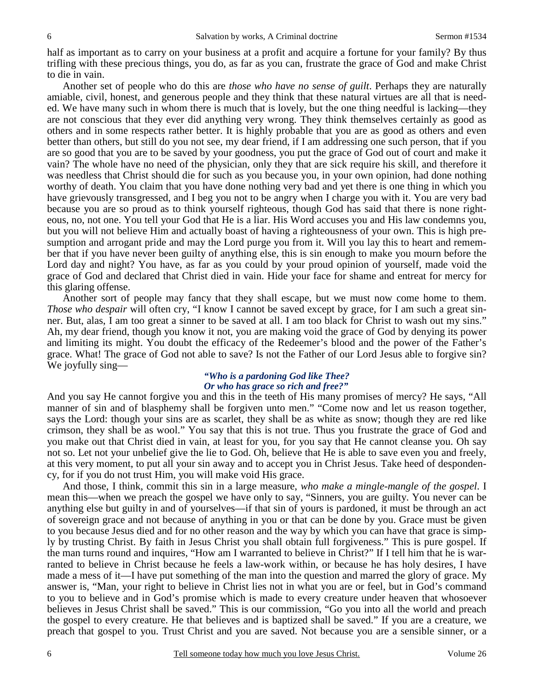half as important as to carry on your business at a profit and acquire a fortune for your family? By thus trifling with these precious things, you do, as far as you can, frustrate the grace of God and make Christ to die in vain.

 Another set of people who do this are *those who have no sense of guilt*. Perhaps they are naturally amiable, civil, honest, and generous people and they think that these natural virtues are all that is needed. We have many such in whom there is much that is lovely, but the one thing needful is lacking—they are not conscious that they ever did anything very wrong. They think themselves certainly as good as others and in some respects rather better. It is highly probable that you are as good as others and even better than others, but still do you not see, my dear friend, if I am addressing one such person, that if you are so good that you are to be saved by your goodness, you put the grace of God out of court and make it vain? The whole have no need of the physician, only they that are sick require his skill, and therefore it was needless that Christ should die for such as you because you, in your own opinion, had done nothing worthy of death. You claim that you have done nothing very bad and yet there is one thing in which you have grievously transgressed, and I beg you not to be angry when I charge you with it. You are very bad because you are so proud as to think yourself righteous, though God has said that there is none righteous, no, not one. You tell your God that He is a liar. His Word accuses you and His law condemns you, but you will not believe Him and actually boast of having a righteousness of your own. This is high presumption and arrogant pride and may the Lord purge you from it. Will you lay this to heart and remember that if you have never been guilty of anything else, this is sin enough to make you mourn before the Lord day and night? You have, as far as you could by your proud opinion of yourself, made void the grace of God and declared that Christ died in vain. Hide your face for shame and entreat for mercy for this glaring offense.

 Another sort of people may fancy that they shall escape, but we must now come home to them. *Those who despair* will often cry, "I know I cannot be saved except by grace, for I am such a great sinner. But, alas, I am too great a sinner to be saved at all. I am too black for Christ to wash out my sins." Ah, my dear friend, though you know it not, you are making void the grace of God by denying its power and limiting its might. You doubt the efficacy of the Redeemer's blood and the power of the Father's grace. What! The grace of God not able to save? Is not the Father of our Lord Jesus able to forgive sin? We joyfully sing—

### *"Who is a pardoning God like Thee? Or who has grace so rich and free?"*

And you say He cannot forgive you and this in the teeth of His many promises of mercy? He says, "All manner of sin and of blasphemy shall be forgiven unto men." "Come now and let us reason together, says the Lord: though your sins are as scarlet, they shall be as white as snow; though they are red like crimson, they shall be as wool." You say that this is not true. Thus you frustrate the grace of God and you make out that Christ died in vain, at least for you, for you say that He cannot cleanse you. Oh say not so. Let not your unbelief give the lie to God. Oh, believe that He is able to save even you and freely, at this very moment, to put all your sin away and to accept you in Christ Jesus. Take heed of despondency, for if you do not trust Him, you will make void His grace.

 And those, I think, commit this sin in a large measure, *who make a mingle-mangle of the gospel*. I mean this—when we preach the gospel we have only to say, "Sinners, you are guilty. You never can be anything else but guilty in and of yourselves—if that sin of yours is pardoned, it must be through an act of sovereign grace and not because of anything in you or that can be done by you. Grace must be given to you because Jesus died and for no other reason and the way by which you can have that grace is simply by trusting Christ. By faith in Jesus Christ you shall obtain full forgiveness." This is pure gospel. If the man turns round and inquires, "How am I warranted to believe in Christ?" If I tell him that he is warranted to believe in Christ because he feels a law-work within, or because he has holy desires, I have made a mess of it—I have put something of the man into the question and marred the glory of grace. My answer is, "Man, your right to believe in Christ lies not in what you are or feel, but in God's command to you to believe and in God's promise which is made to every creature under heaven that whosoever believes in Jesus Christ shall be saved." This is our commission, "Go you into all the world and preach the gospel to every creature. He that believes and is baptized shall be saved." If you are a creature, we preach that gospel to you. Trust Christ and you are saved. Not because you are a sensible sinner, or a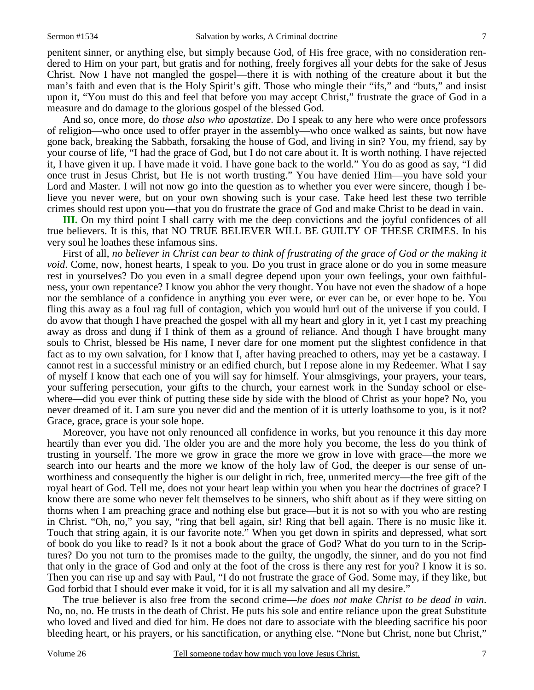penitent sinner, or anything else, but simply because God, of His free grace, with no consideration rendered to Him on your part, but gratis and for nothing, freely forgives all your debts for the sake of Jesus Christ. Now I have not mangled the gospel—there it is with nothing of the creature about it but the man's faith and even that is the Holy Spirit's gift. Those who mingle their "ifs," and "buts," and insist upon it, "You must do this and feel that before you may accept Christ," frustrate the grace of God in a measure and do damage to the glorious gospel of the blessed God.

 And so, once more, do *those also who apostatize*. Do I speak to any here who were once professors of religion—who once used to offer prayer in the assembly—who once walked as saints, but now have gone back, breaking the Sabbath, forsaking the house of God, and living in sin? You, my friend, say by your course of life, "I had the grace of God, but I do not care about it. It is worth nothing. I have rejected it, I have given it up. I have made it void. I have gone back to the world." You do as good as say, "I did once trust in Jesus Christ, but He is not worth trusting." You have denied Him—you have sold your Lord and Master. I will not now go into the question as to whether you ever were sincere, though I believe you never were, but on your own showing such is your case. Take heed lest these two terrible crimes should rest upon you—that you do frustrate the grace of God and make Christ to be dead in vain.

**III.** On my third point I shall carry with me the deep convictions and the joyful confidences of all true believers. It is this, that NO TRUE BELIEVER WILL BE GUILTY OF THESE CRIMES. In his very soul he loathes these infamous sins.

 First of all, *no believer in Christ can bear to think of frustrating of the grace of God or the making it void*. Come, now, honest hearts, I speak to you. Do you trust in grace alone or do you in some measure rest in yourselves? Do you even in a small degree depend upon your own feelings, your own faithfulness, your own repentance? I know you abhor the very thought. You have not even the shadow of a hope nor the semblance of a confidence in anything you ever were, or ever can be, or ever hope to be. You fling this away as a foul rag full of contagion, which you would hurl out of the universe if you could. I do avow that though I have preached the gospel with all my heart and glory in it, yet I cast my preaching away as dross and dung if I think of them as a ground of reliance. And though I have brought many souls to Christ, blessed be His name, I never dare for one moment put the slightest confidence in that fact as to my own salvation, for I know that I, after having preached to others, may yet be a castaway. I cannot rest in a successful ministry or an edified church, but I repose alone in my Redeemer. What I say of myself I know that each one of you will say for himself. Your almsgivings, your prayers, your tears, your suffering persecution, your gifts to the church, your earnest work in the Sunday school or elsewhere—did you ever think of putting these side by side with the blood of Christ as your hope? No, you never dreamed of it. I am sure you never did and the mention of it is utterly loathsome to you, is it not? Grace, grace, grace is your sole hope.

 Moreover, you have not only renounced all confidence in works, but you renounce it this day more heartily than ever you did. The older you are and the more holy you become, the less do you think of trusting in yourself. The more we grow in grace the more we grow in love with grace—the more we search into our hearts and the more we know of the holy law of God, the deeper is our sense of unworthiness and consequently the higher is our delight in rich, free, unmerited mercy—the free gift of the royal heart of God. Tell me, does not your heart leap within you when you hear the doctrines of grace? I know there are some who never felt themselves to be sinners, who shift about as if they were sitting on thorns when I am preaching grace and nothing else but grace—but it is not so with you who are resting in Christ. "Oh, no," you say, "ring that bell again, sir! Ring that bell again. There is no music like it. Touch that string again, it is our favorite note." When you get down in spirits and depressed, what sort of book do you like to read? Is it not a book about the grace of God? What do you turn to in the Scriptures? Do you not turn to the promises made to the guilty, the ungodly, the sinner, and do you not find that only in the grace of God and only at the foot of the cross is there any rest for you? I know it is so. Then you can rise up and say with Paul, "I do not frustrate the grace of God. Some may, if they like, but God forbid that I should ever make it void, for it is all my salvation and all my desire."

 The true believer is also free from the second crime—*he does not make Christ to be dead in vain*. No, no, no. He trusts in the death of Christ. He puts his sole and entire reliance upon the great Substitute who loved and lived and died for him. He does not dare to associate with the bleeding sacrifice his poor bleeding heart, or his prayers, or his sanctification, or anything else. "None but Christ, none but Christ,"